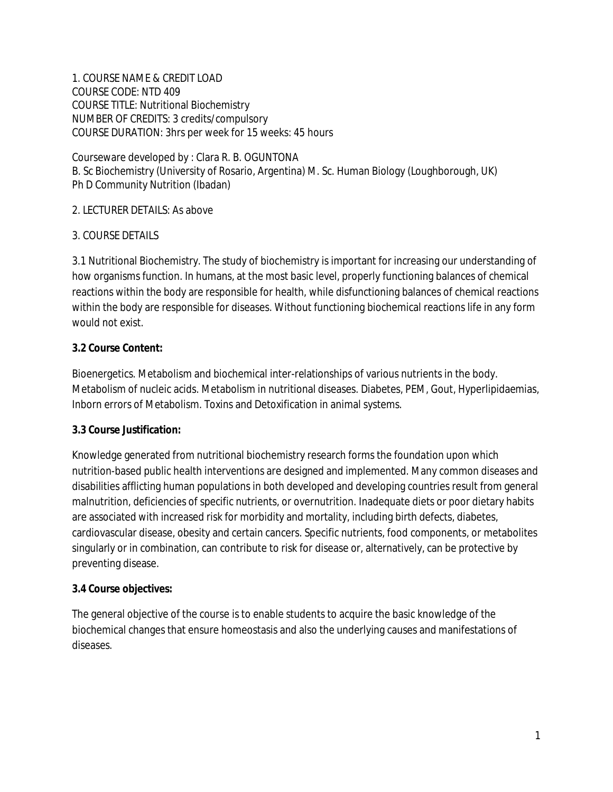1. COURSE NAME & CREDIT LOAD COURSE CODE: NTD 409 COURSE TITLE: Nutritional Biochemistry NUMBER OF CREDITS: 3 credits/compulsory COURSE DURATION: 3hrs per week for 15 weeks: 45 hours

Courseware developed by : Clara R. B. OGUNTONA B. Sc Biochemistry (University of Rosario, Argentina) M. Sc. Human Biology (Loughborough, UK) Ph D Community Nutrition (Ibadan)

# 2. LECTURER DETAILS: As above

# 3. COURSE DETAILS

3.1 Nutritional Biochemistry. The study of biochemistry is important for increasing our understanding of how organisms function. In humans, at the most basic level, properly functioning balances of chemical reactions within the body are responsible for health, while disfunctioning balances of chemical reactions within the body are responsible for diseases. Without functioning biochemical reactions life in any form would not exist.

# **3.2 Course Content:**

Bioenergetics. Metabolism and biochemical inter-relationships of various nutrients in the body. Metabolism of nucleic acids. Metabolism in nutritional diseases. Diabetes, PEM, Gout, Hyperlipidaemias, Inborn errors of Metabolism. Toxins and Detoxification in animal systems.

# **3.3 Course Justification:**

Knowledge generated from nutritional biochemistry research forms the foundation upon which nutrition-based public health interventions are designed and implemented. Many common diseases and disabilities afflicting human populations in both developed and developing countries result from general malnutrition, deficiencies of specific nutrients, or overnutrition. Inadequate diets or poor dietary habits are associated with increased risk for morbidity and mortality, including birth defects, diabetes, cardiovascular disease, obesity and certain cancers. Specific nutrients, food components, or metabolites singularly or in combination, can contribute to risk for disease or, alternatively, can be protective by preventing disease.

# **3.4 Course objectives:**

The general objective of the course is to enable students to acquire the basic knowledge of the biochemical changes that ensure homeostasis and also the underlying causes and manifestations of diseases.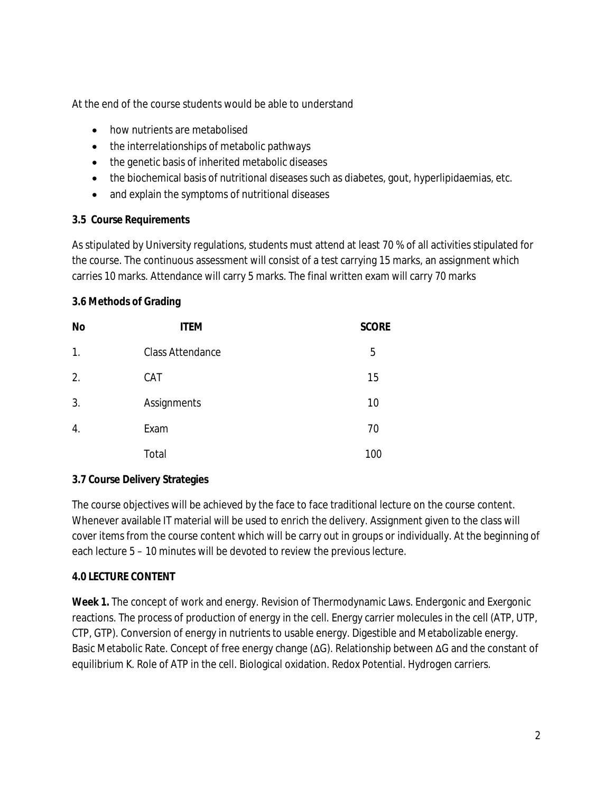At the end of the course students would be able to understand

- how nutrients are metabolised
- the interrelationships of metabolic pathways
- the genetic basis of inherited metabolic diseases
- the biochemical basis of nutritional diseases such as diabetes, gout, hyperlipidaemias, etc.
- and explain the symptoms of nutritional diseases

### **3.5 Course Requirements**

As stipulated by University regulations, students must attend at least 70 % of all activities stipulated for the course. The continuous assessment will consist of a test carrying 15 marks, an assignment which carries 10 marks. Attendance will carry 5 marks. The final written exam will carry 70 marks

### **3.6 Methods of Grading**

| <b>No</b>        | <b>ITEM</b>             | <b>SCORE</b> |
|------------------|-------------------------|--------------|
| 1.               | <b>Class Attendance</b> | 5            |
| 2.               | CAT                     | 15           |
| 3.               | Assignments             | 10           |
| $\overline{4}$ . | Exam                    | 70           |
|                  | Total                   | 100          |

# **3.7 Course Delivery Strategies**

The course objectives will be achieved by the face to face traditional lecture on the course content. Whenever available IT material will be used to enrich the delivery. Assignment given to the class will cover items from the course content which will be carry out in groups or individually. At the beginning of each lecture 5 – 10 minutes will be devoted to review the previous lecture.

# **4.0 LECTURE CONTENT**

Week 1. The concept of work and energy. Revision of Thermodynamic Laws. Endergonic and Exergonic reactions. The process of production of energy in the cell. Energy carrier molecules in the cell (ATP, UTP, CTP, GTP). Conversion of energy in nutrients to usable energy. Digestible and Metabolizable energy. Basic Metabolic Rate. Concept of free energy change (∆G). Relationship between ∆G and the constant of equilibrium K. Role of ATP in the cell. Biological oxidation. Redox Potential. Hydrogen carriers.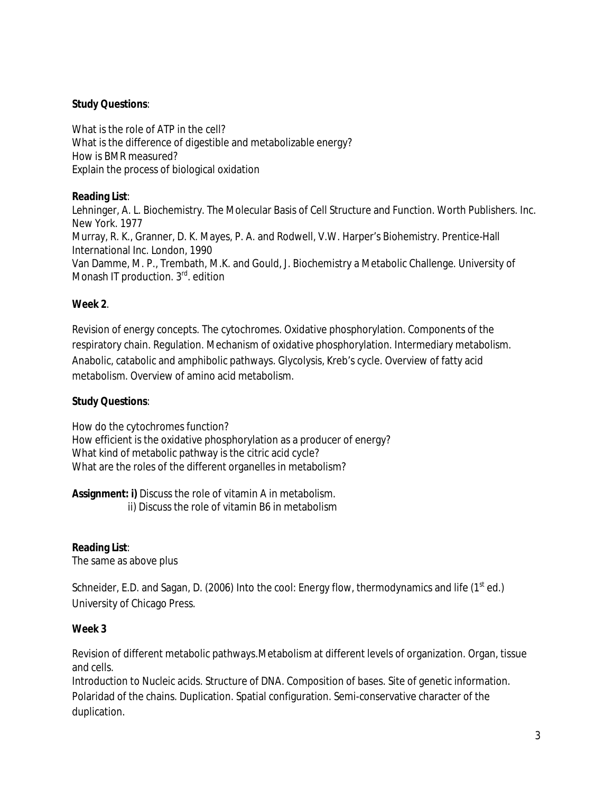### **Study Questions**:

What is the role of ATP in the cell? What is the difference of digestible and metabolizable energy? How is BMR measured? Explain the process of biological oxidation

### **Reading List**:

Lehninger, A. L. Biochemistry. The Molecular Basis of Cell Structure and Function. Worth Publishers. Inc. New York. 1977 Murray, R. K., Granner, D. K. Mayes, P. A. and Rodwell, V.W. Harper's Biohemistry. Prentice-Hall International Inc. London, 1990 Van Damme, M. P., Trembath, M.K. and Gould, J. Biochemistry a Metabolic Challenge. University of Monash IT production. 3<sup>rd</sup>. edition

# **Week 2**.

Revision of energy concepts. The cytochromes. Oxidative phosphorylation. Components of the respiratory chain. Regulation. Mechanism of oxidative phosphorylation. Intermediary metabolism. Anabolic, catabolic and amphibolic pathways. Glycolysis, Kreb's cycle. Overview of fatty acid metabolism. Overview of amino acid metabolism.

### **Study Questions**:

How do the cytochromes function? How efficient is the oxidative phosphorylation as a producer of energy?

What kind of metabolic pathway is the citric acid cycle? What are the roles of the different organelles in metabolism?

**Assignment: i)** Discuss the role of vitamin A in metabolism.

ii) Discuss the role of vitamin B6 in metabolism

# **Reading List**:

The same as above plus

Schneider, E.D. and Sagan, D. (2006) Into the cool: Energy flow, thermodynamics and life ( $1<sup>st</sup>$  ed.) University of Chicago Press.

# **Week 3**

Revision of different metabolic pathways.Metabolism at different levels of organization. Organ, tissue and cells.

Introduction to Nucleic acids. Structure of DNA. Composition of bases. Site of genetic information. Polaridad of the chains. Duplication. Spatial configuration. Semi-conservative character of the duplication.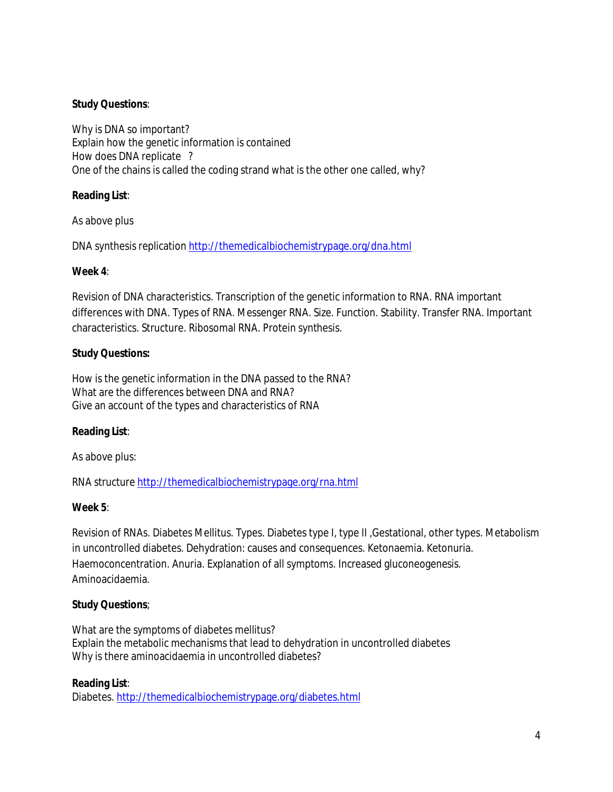### **Study Questions**:

Why is DNA so important? Explain how the genetic information is contained How does DNA replicate ? One of the chains is called the coding strand what is the other one called, why?

### **Reading List**:

As above plus

DNA synthesis replication http://themedicalbiochemistrypage.org/dna.html

### **Week 4**:

Revision of DNA characteristics. Transcription of the genetic information to RNA. RNA important differences with DNA. Types of RNA. Messenger RNA. Size. Function. Stability. Transfer RNA. Important characteristics. Structure. Ribosomal RNA. Protein synthesis.

### **Study Questions:**

How is the genetic information in the DNA passed to the RNA? What are the differences between DNA and RNA? Give an account of the types and characteristics of RNA

### **Reading List**:

As above plus:

RNA structure http://themedicalbiochemistrypage.org/rna.html

### **Week 5**:

Revision of RNAs. Diabetes Mellitus. Types. Diabetes type I, type II ,Gestational, other types. Metabolism in uncontrolled diabetes. Dehydration: causes and consequences. Ketonaemia. Ketonuria. Haemoconcentration. Anuria. Explanation of all symptoms. Increased gluconeogenesis. Aminoacidaemia.

### **Study Questions**;

What are the symptoms of diabetes mellitus? Explain the metabolic mechanisms that lead to dehydration in uncontrolled diabetes Why is there aminoacidaemia in uncontrolled diabetes?

### **Reading List**:

Diabetes. http://themedicalbiochemistrypage.org/diabetes.html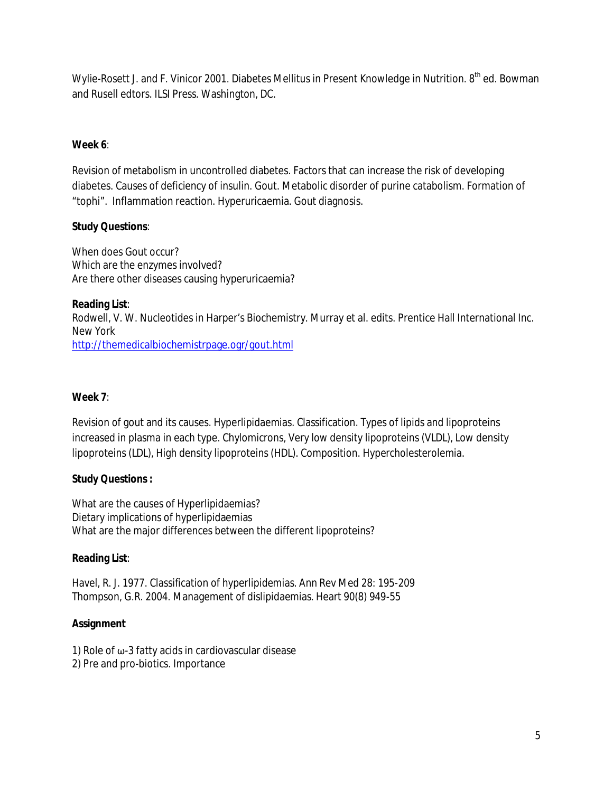Wylie-Rosett J. and F. Vinicor 2001. Diabetes Mellitus in Present Knowledge in Nutrition. 8<sup>th</sup> ed. Bowman and Rusell edtors. ILSI Press. Washington, DC.

# **Week 6**:

Revision of metabolism in uncontrolled diabetes. Factors that can increase the risk of developing diabetes. Causes of deficiency of insulin. Gout. Metabolic disorder of purine catabolism. Formation of "tophi". Inflammation reaction. Hyperuricaemia. Gout diagnosis.

# **Study Questions**:

When does Gout occur? Which are the enzymes involved? Are there other diseases causing hyperuricaemia?

# **Reading List**:

Rodwell, V. W. Nucleotides in Harper's Biochemistry. Murray et al. edits. Prentice Hall International Inc. New York http://themedicalbiochemistrpage.ogr/gout.html

# **Week 7**:

Revision of gout and its causes. Hyperlipidaemias. Classification. Types of lipids and lipoproteins increased in plasma in each type. Chylomicrons, Very low density lipoproteins (VLDL), Low density lipoproteins (LDL), High density lipoproteins (HDL). Composition. Hypercholesterolemia.

# **Study Questions :**

What are the causes of Hyperlipidaemias? Dietary implications of hyperlipidaemias What are the major differences between the different lipoproteins?

# **Reading List**:

Havel, R. J. 1977. Classification of hyperlipidemias. Ann Rev Med 28: 195-209 Thompson, G.R. 2004. Management of dislipidaemias. Heart 90(8) 949-55

# **Assignment**

1) Role of ω-3 fatty acids in cardiovascular disease

2) Pre and pro-biotics. Importance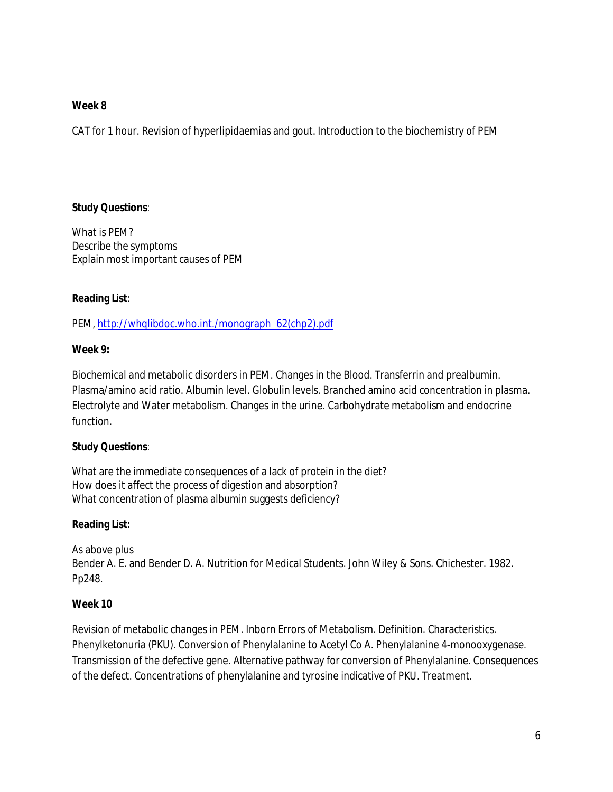### **Week 8**

CAT for 1 hour. Revision of hyperlipidaemias and gout. Introduction to the biochemistry of PEM

#### **Study Questions**:

What is PEM? Describe the symptoms Explain most important causes of PEM

### **Reading List**:

PEM, http://whqlibdoc.who.int./monograph\_62(chp2).pdf

#### **Week 9:**

Biochemical and metabolic disorders in PEM. Changes in the Blood. Transferrin and prealbumin. Plasma/amino acid ratio. Albumin level. Globulin levels. Branched amino acid concentration in plasma. Electrolyte and Water metabolism. Changes in the urine. Carbohydrate metabolism and endocrine function.

### **Study Questions**:

What are the immediate consequences of a lack of protein in the diet? How does it affect the process of digestion and absorption? What concentration of plasma albumin suggests deficiency?

### **Reading List:**

As above plus Bender A. E. and Bender D. A. Nutrition for Medical Students. John Wiley & Sons. Chichester. 1982. Pp248.

### **Week 10**

Revision of metabolic changes in PEM. Inborn Errors of Metabolism. Definition. Characteristics. Phenylketonuria (PKU). Conversion of Phenylalanine to Acetyl Co A. Phenylalanine 4-monooxygenase. Transmission of the defective gene. Alternative pathway for conversion of Phenylalanine. Consequences of the defect. Concentrations of phenylalanine and tyrosine indicative of PKU. Treatment.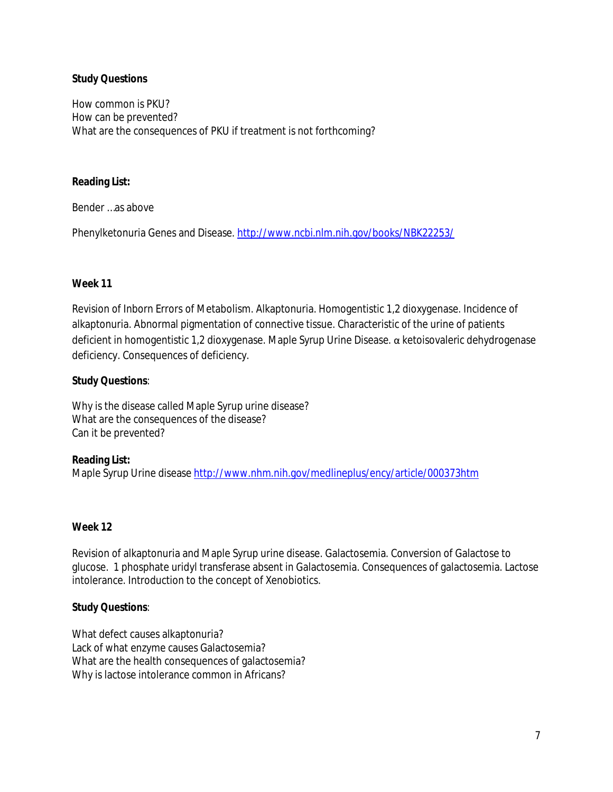### **Study Questions**

How common is PKU? How can be prevented? What are the consequences of PKU if treatment is not forthcoming?

### **Reading List:**

Bender …as above

Phenylketonuria Genes and Disease. http://www.ncbi.nlm.nih.gov/books/NBK22253/

#### **Week 11**

Revision of Inborn Errors of Metabolism. Alkaptonuria. Homogentistic 1,2 dioxygenase. Incidence of alkaptonuria. Abnormal pigmentation of connective tissue. Characteristic of the urine of patients deficient in homogentistic 1,2 dioxygenase. Maple Syrup Urine Disease. α ketoisovaleric dehydrogenase deficiency. Consequences of deficiency.

#### **Study Questions**:

Why is the disease called Maple Syrup urine disease? What are the consequences of the disease? Can it be prevented?

### **Reading List:**

Maple Syrup Urine disease http://www.nhm.nih.gov/medlineplus/ency/article/000373htm

### **Week 12**

Revision of alkaptonuria and Maple Syrup urine disease. Galactosemia. Conversion of Galactose to glucose. 1 phosphate uridyl transferase absent in Galactosemia. Consequences of galactosemia. Lactose intolerance. Introduction to the concept of Xenobiotics.

### **Study Questions**:

What defect causes alkaptonuria? Lack of what enzyme causes Galactosemia? What are the health consequences of galactosemia? Why is lactose intolerance common in Africans?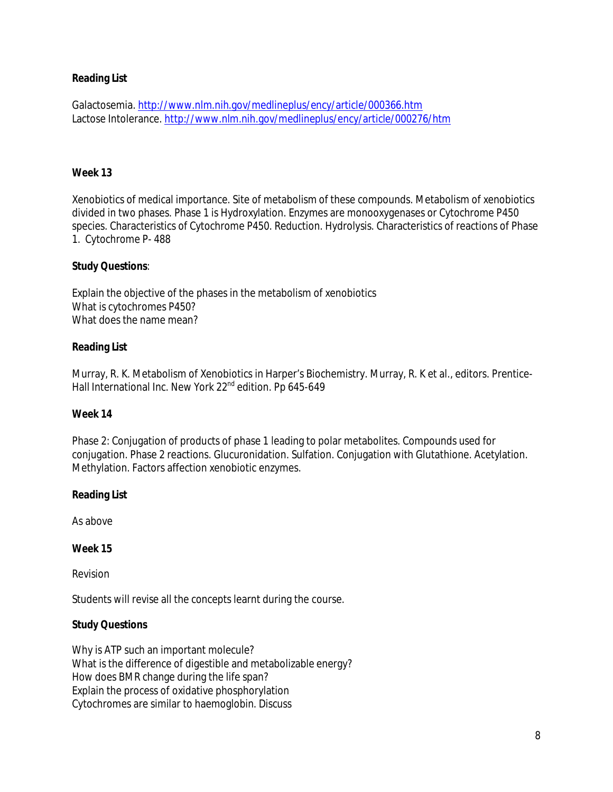### **Reading List**

Galactosemia. http://www.nlm.nih.gov/medlineplus/ency/article/000366.htm Lactose Intolerance. http://www.nlm.nih.gov/medlineplus/ency/article/000276/htm

#### **Week 13**

Xenobiotics of medical importance. Site of metabolism of these compounds. Metabolism of xenobiotics divided in two phases. Phase 1 is Hydroxylation. Enzymes are monooxygenases or Cytochrome P450 species. Characteristics of Cytochrome P450. Reduction. Hydrolysis. Characteristics of reactions of Phase 1. Cytochrome P- 488

#### **Study Questions**:

Explain the objective of the phases in the metabolism of xenobiotics What is cytochromes P450? What does the name mean?

#### **Reading List**

Murray, R. K. Metabolism of Xenobiotics in Harper's Biochemistry. Murray, R. K et al., editors. Prentice-Hall International Inc. New York 22<sup>nd</sup> edition. Pp 645-649

#### **Week 14**

Phase 2: Conjugation of products of phase 1 leading to polar metabolites. Compounds used for conjugation. Phase 2 reactions. Glucuronidation. Sulfation. Conjugation with Glutathione. Acetylation. Methylation. Factors affection xenobiotic enzymes.

#### **Reading List**

As above

#### **Week 15**

Revision

Students will revise all the concepts learnt during the course.

### **Study Questions**

Why is ATP such an important molecule? What is the difference of digestible and metabolizable energy? How does BMR change during the life span? Explain the process of oxidative phosphorylation Cytochromes are similar to haemoglobin. Discuss